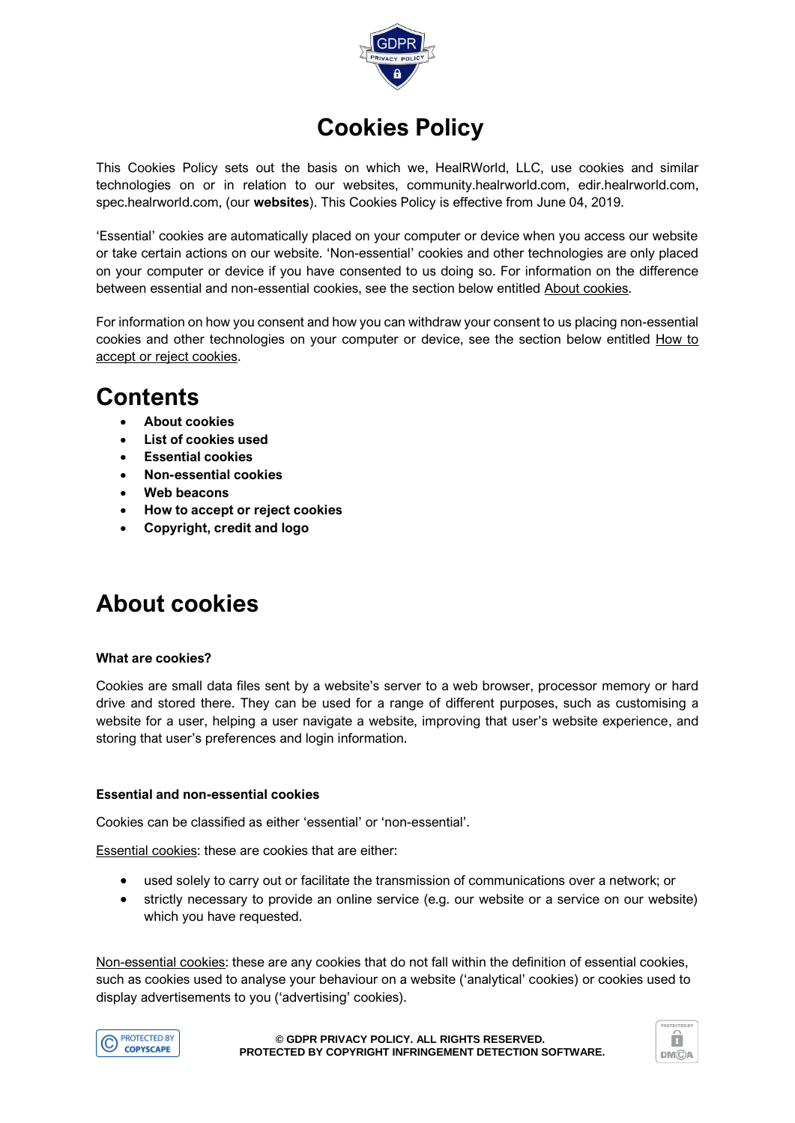

# **Cookies Policy**

This Cookies Policy sets out the basis on which we, HealRWorld, LLC, use cookies and similar technologies on or in relation to our websites, community.healrworld.com, edir.healrworld.com, spec.healrworld.com, (our **websites**). This Cookies Policy is effective from June 04, 2019.

'Essential' cookies are automatically placed on your computer or device when you access our website or take certain actions on our website. 'Non-essential' cookies and other technologies are only placed on your computer or device if you have consented to us doing so. For information on the difference between essential and non-essential cookies, see the section below entitled About cookies.

For information on how you consent and how you can withdraw your consent to us placing non-essential cookies and other technologies on your computer or device, see the section below entitled How to accept or reject cookies.

### **Contents**

- **About cookies**
- **List of cookies used**
- **Essential cookies**
- **Non-essential cookies**
- **Web beacons**
- **How to accept or reject cookies**
- **Copyright, credit and logo**

# **About cookies**

#### **What are cookies?**

Cookies are small data files sent by a website's server to a web browser, processor memory or hard drive and stored there. They can be used for a range of different purposes, such as customising a website for a user, helping a user navigate a website, improving that user's website experience, and storing that user's preferences and login information.

#### **Essential and non-essential cookies**

Cookies can be classified as either 'essential' or 'non-essential'.

Essential cookies: these are cookies that are either:

- used solely to carry out or facilitate the transmission of communications over a network; or
- strictly necessary to provide an online service (e.g. our website or a service on our website) which you have requested.

Non-essential cookies: these are any cookies that do not fall within the definition of essential cookies, such as cookies used to analyse your behaviour on a website ('analytical' cookies) or cookies used to display advertisements to you ('advertising' cookies).



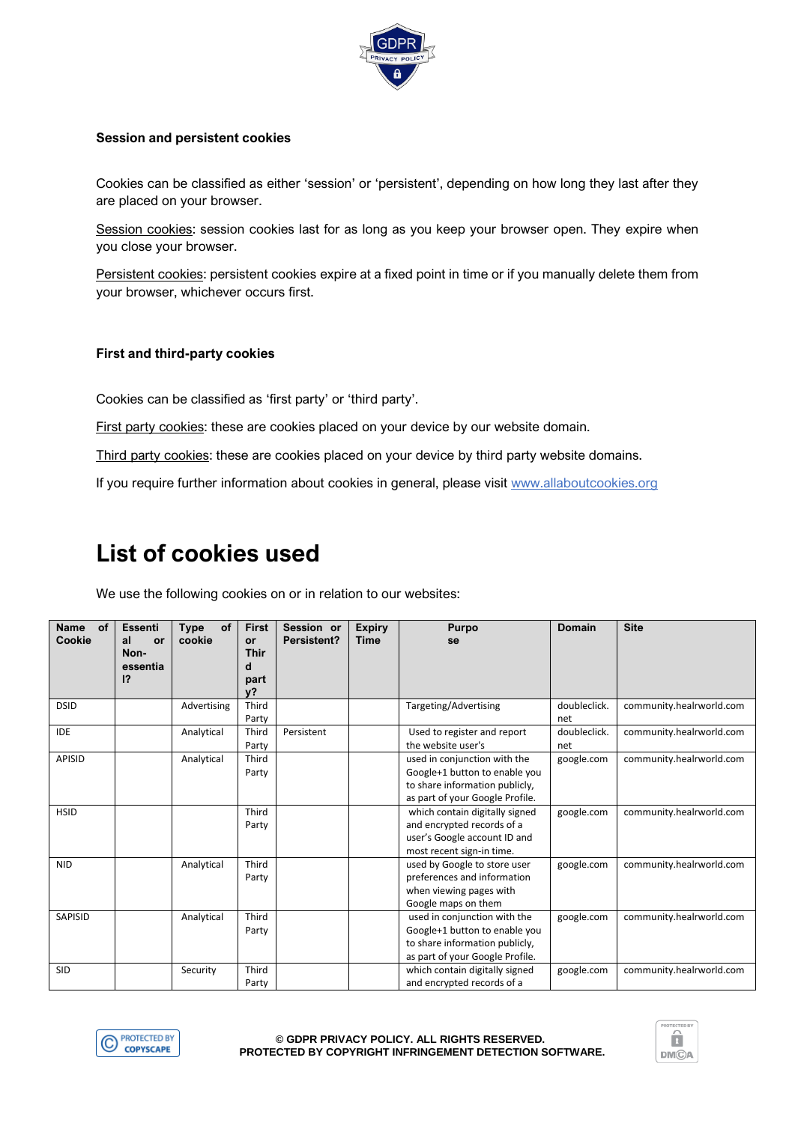

### **Session and persistent cookies**

Cookies can be classified as either 'session' or 'persistent', depending on how long they last after they are placed on your browser.

Session cookies: session cookies last for as long as you keep your browser open. They expire when you close your browser.

Persistent cookies: persistent cookies expire at a fixed point in time or if you manually delete them from your browser, whichever occurs first.

### **First and third-party cookies**

Cookies can be classified as 'first party' or 'third party'.

First party cookies: these are cookies placed on your device by our website domain.

Third party cookies: these are cookies placed on your device by third party website domains.

If you require further information about cookies in general, please visit [www.allaboutcookies.org](http://www.allaboutcookies.org/)

# **List of cookies used**

We use the following cookies on or in relation to our websites:

| <b>Name</b><br><b>of</b><br>Cookie | <b>Essenti</b><br>al<br>or<br>Non- | <b>Type</b><br>οf<br>cookie | <b>First</b><br><b>or</b><br>Thir | Session or<br>Persistent? | <b>Expiry</b><br>Time | Purpo<br>se                                                                                                                        | <b>Domain</b>       | <b>Site</b>              |
|------------------------------------|------------------------------------|-----------------------------|-----------------------------------|---------------------------|-----------------------|------------------------------------------------------------------------------------------------------------------------------------|---------------------|--------------------------|
|                                    | essentia<br> 2                     |                             | d<br>part<br>v?                   |                           |                       |                                                                                                                                    |                     |                          |
| <b>DSID</b>                        |                                    | Advertising                 | Third<br>Party                    |                           |                       | Targeting/Advertising                                                                                                              | doubleclick.<br>net | community.healrworld.com |
| <b>IDE</b>                         |                                    | Analytical                  | Third<br>Party                    | Persistent                |                       | Used to register and report<br>the website user's                                                                                  | doubleclick.<br>net | community.healrworld.com |
| <b>APISID</b>                      |                                    | Analytical                  | Third<br>Party                    |                           |                       | used in conjunction with the<br>Google+1 button to enable you<br>to share information publicly,<br>as part of your Google Profile. | google.com          | community.healrworld.com |
| <b>HSID</b>                        |                                    |                             | Third<br>Party                    |                           |                       | which contain digitally signed<br>and encrypted records of a<br>user's Google account ID and<br>most recent sign-in time.          | google.com          | community.healrworld.com |
| <b>NID</b>                         |                                    | Analytical                  | Third<br>Party                    |                           |                       | used by Google to store user<br>preferences and information<br>when viewing pages with<br>Google maps on them                      | google.com          | community.healrworld.com |
| SAPISID                            |                                    | Analytical                  | Third<br>Party                    |                           |                       | used in conjunction with the<br>Google+1 button to enable you<br>to share information publicly,<br>as part of your Google Profile. | google.com          | community.healrworld.com |
| <b>SID</b>                         |                                    | Security                    | Third<br>Party                    |                           |                       | which contain digitally signed<br>and encrypted records of a                                                                       | google.com          | community.healrworld.com |



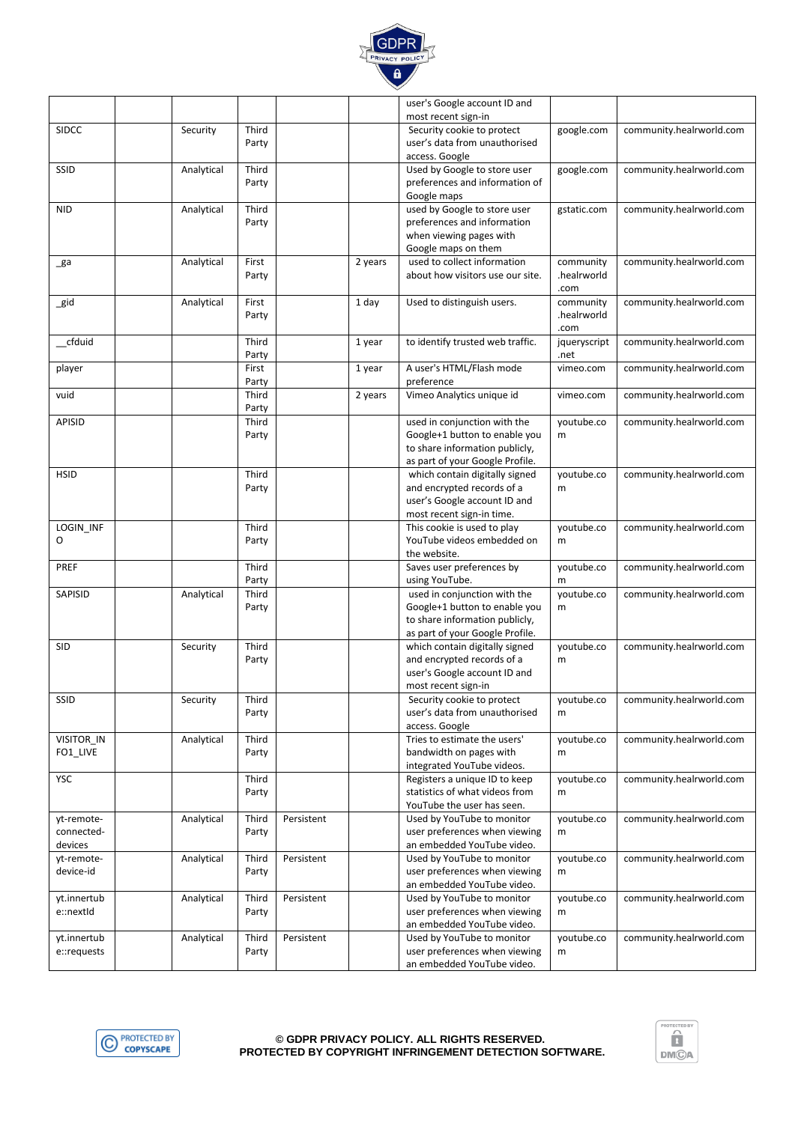

|              |            |                |            |         | user's Google account ID and                                      |                   |                          |
|--------------|------------|----------------|------------|---------|-------------------------------------------------------------------|-------------------|--------------------------|
|              |            |                |            |         | most recent sign-in                                               |                   |                          |
| <b>SIDCC</b> | Security   | Third<br>Party |            |         | Security cookie to protect<br>user's data from unauthorised       | google.com        | community.healrworld.com |
|              |            |                |            |         | access. Google                                                    |                   |                          |
| SSID         | Analytical | Third          |            |         | Used by Google to store user                                      | google.com        | community.healrworld.com |
|              |            | Party          |            |         | preferences and information of                                    |                   |                          |
|              |            |                |            |         | Google maps                                                       |                   |                          |
| <b>NID</b>   | Analytical | Third          |            |         | used by Google to store user                                      | gstatic.com       | community.healrworld.com |
|              |            | Party          |            |         | preferences and information                                       |                   |                          |
|              |            |                |            |         | when viewing pages with                                           |                   |                          |
| _ga          | Analytical | First          |            | 2 years | Google maps on them<br>used to collect information                | community         | community.healrworld.com |
|              |            | Party          |            |         | about how visitors use our site.                                  | .healrworld       |                          |
|              |            |                |            |         |                                                                   | .com              |                          |
| $\_gid$      | Analytical | First          |            | 1 day   | Used to distinguish users.                                        | community         | community.healrworld.com |
|              |            | Party          |            |         |                                                                   | .healrworld       |                          |
|              |            |                |            |         |                                                                   | .com              |                          |
| cfduid       |            | Third          |            | 1 year  | to identify trusted web traffic.                                  | jqueryscript      | community.healrworld.com |
| player       |            | Party<br>First |            | 1 year  | A user's HTML/Flash mode                                          | .net<br>vimeo.com | community.healrworld.com |
|              |            | Party          |            |         | preference                                                        |                   |                          |
| vuid         |            | Third          |            | 2 years | Vimeo Analytics unique id                                         | vimeo.com         | community.healrworld.com |
|              |            | Party          |            |         |                                                                   |                   |                          |
| APISID       |            | Third          |            |         | used in conjunction with the                                      | youtube.co        | community.healrworld.com |
|              |            | Party          |            |         | Google+1 button to enable you                                     | m                 |                          |
|              |            |                |            |         | to share information publicly,                                    |                   |                          |
| <b>HSID</b>  |            | Third          |            |         | as part of your Google Profile.<br>which contain digitally signed | youtube.co        | community.healrworld.com |
|              |            | Party          |            |         | and encrypted records of a                                        | m                 |                          |
|              |            |                |            |         | user's Google account ID and                                      |                   |                          |
|              |            |                |            |         | most recent sign-in time.                                         |                   |                          |
| LOGIN_INF    |            | Third          |            |         | This cookie is used to play                                       | youtube.co        | community.healrworld.com |
| O            |            | Party          |            |         | YouTube videos embedded on                                        | m                 |                          |
|              |            |                |            |         | the website.                                                      |                   |                          |
| PREF         |            | Third<br>Party |            |         | Saves user preferences by<br>using YouTube.                       | youtube.co        | community.healrworld.com |
| SAPISID      | Analytical | Third          |            |         | used in conjunction with the                                      | m<br>youtube.co   | community.healrworld.com |
|              |            | Party          |            |         | Google+1 button to enable you                                     | m                 |                          |
|              |            |                |            |         | to share information publicly,                                    |                   |                          |
|              |            |                |            |         | as part of your Google Profile.                                   |                   |                          |
| SID          | Security   | Third          |            |         | which contain digitally signed                                    | youtube.co        | community.healrworld.com |
|              |            | Party          |            |         | and encrypted records of a                                        | m                 |                          |
|              |            |                |            |         | user's Google account ID and<br>most recent sign-in               |                   |                          |
| SSID         | Security   | Third          |            |         | Security cookie to protect                                        | youtube.co        | community.healrworld.com |
|              |            | Party          |            |         | user's data from unauthorised                                     | m                 |                          |
|              |            |                |            |         | access. Google                                                    |                   |                          |
| VISITOR_IN   | Analytical | Third          |            |         | Tries to estimate the users'                                      | youtube.co        | community.healrworld.com |
| FO1_LIVE     |            | Party          |            |         | bandwidth on pages with                                           | m                 |                          |
|              |            |                |            |         | integrated YouTube videos.                                        |                   |                          |
| <b>YSC</b>   |            | Third<br>Party |            |         | Registers a unique ID to keep<br>statistics of what videos from   | youtube.co<br>m   | community.healrworld.com |
|              |            |                |            |         | YouTube the user has seen.                                        |                   |                          |
| yt-remote-   | Analytical | Third          | Persistent |         | Used by YouTube to monitor                                        | youtube.co        | community.healrworld.com |
| connected-   |            | Party          |            |         | user preferences when viewing                                     | m                 |                          |
| devices      |            |                |            |         | an embedded YouTube video.                                        |                   |                          |
| yt-remote-   | Analytical | Third          | Persistent |         | Used by YouTube to monitor                                        | youtube.co        | community.healrworld.com |
| device-id    |            | Party          |            |         | user preferences when viewing                                     | m                 |                          |
| yt.innertub  | Analytical | Third          | Persistent |         | an embedded YouTube video.<br>Used by YouTube to monitor          | youtube.co        | community.healrworld.com |
| e::nextId    |            | Party          |            |         | user preferences when viewing                                     | m                 |                          |
|              |            |                |            |         | an embedded YouTube video.                                        |                   |                          |
| yt.innertub  | Analytical | Third          | Persistent |         | Used by YouTube to monitor                                        | youtube.co        | community.healrworld.com |
| e::requests  |            | Party          |            |         | user preferences when viewing                                     | m                 |                          |
|              |            |                |            |         | an embedded YouTube video.                                        |                   |                          |



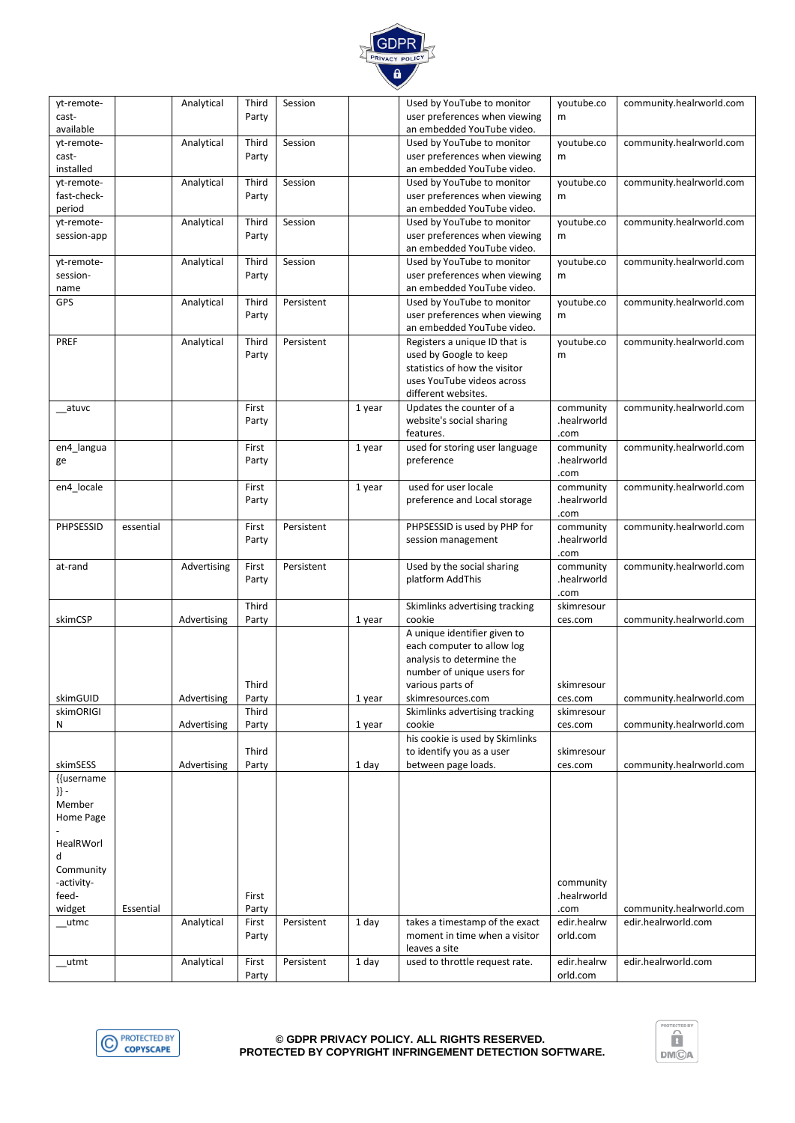

#### **© GDPR PRIVACY POLICY. ALL RIGHTS RESERVED. PROTECTED BY COPYRIGHT INFRINGEMENT DETECTION SOFTWARE.**



| yt-remote-              |           | Analytical  | Third | Session    |        | Used by YouTube to monitor                               | youtube.co               | community.healrworld.com |
|-------------------------|-----------|-------------|-------|------------|--------|----------------------------------------------------------|--------------------------|--------------------------|
| cast-                   |           |             | Party |            |        | user preferences when viewing                            | m                        |                          |
| available<br>yt-remote- |           | Analytical  | Third | Session    |        | an embedded YouTube video.<br>Used by YouTube to monitor | youtube.co               | community.healrworld.com |
| cast-                   |           |             | Party |            |        | user preferences when viewing                            | m                        |                          |
| installed               |           |             |       |            |        | an embedded YouTube video.                               |                          |                          |
| yt-remote-              |           | Analytical  | Third | Session    |        | Used by YouTube to monitor                               | youtube.co               | community.healrworld.com |
| fast-check-             |           |             | Party |            |        | user preferences when viewing                            | m                        |                          |
| period                  |           |             |       |            |        | an embedded YouTube video.                               |                          |                          |
| yt-remote-              |           | Analytical  | Third | Session    |        | Used by YouTube to monitor                               | youtube.co               | community.healrworld.com |
| session-app             |           |             | Party |            |        | user preferences when viewing                            | m                        |                          |
|                         |           |             |       |            |        | an embedded YouTube video.                               |                          |                          |
| yt-remote-              |           | Analytical  | Third | Session    |        | Used by YouTube to monitor                               | youtube.co               | community.healrworld.com |
| session-                |           |             | Party |            |        | user preferences when viewing                            | m                        |                          |
| name                    |           |             |       |            |        | an embedded YouTube video.                               |                          |                          |
| GPS                     |           | Analytical  | Third | Persistent |        | Used by YouTube to monitor                               | youtube.co               | community.healrworld.com |
|                         |           |             | Party |            |        | user preferences when viewing                            | m                        |                          |
|                         |           |             |       |            |        | an embedded YouTube video.                               |                          |                          |
| PREF                    |           | Analytical  | Third | Persistent |        | Registers a unique ID that is                            | youtube.co               | community.healrworld.com |
|                         |           |             | Party |            |        | used by Google to keep<br>statistics of how the visitor  | m                        |                          |
|                         |           |             |       |            |        | uses YouTube videos across                               |                          |                          |
|                         |           |             |       |            |        | different websites.                                      |                          |                          |
| atuvc                   |           |             | First |            | 1 year | Updates the counter of a                                 | community                | community.healrworld.com |
|                         |           |             | Party |            |        | website's social sharing                                 | .healrworld              |                          |
|                         |           |             |       |            |        | features.                                                | .com                     |                          |
| en4_langua              |           |             | First |            | 1 year | used for storing user language                           | community                | community.healrworld.com |
| ge                      |           |             | Party |            |        | preference                                               | .healrworld              |                          |
|                         |           |             |       |            |        |                                                          | .com                     |                          |
| en4_locale              |           |             | First |            | 1 year | used for user locale                                     | community                | community.healrworld.com |
|                         |           |             | Party |            |        | preference and Local storage                             | .healrworld              |                          |
|                         |           |             |       |            |        |                                                          | .com                     |                          |
| PHPSESSID               | essential |             | First | Persistent |        | PHPSESSID is used by PHP for                             | community                | community.healrworld.com |
|                         |           |             | Party |            |        | session management                                       | .healrworld              |                          |
|                         |           |             |       |            |        |                                                          | .com                     |                          |
| at-rand                 |           | Advertising | First | Persistent |        | Used by the social sharing<br>platform AddThis           | community<br>.healrworld | community.healrworld.com |
|                         |           |             | Party |            |        |                                                          | .com                     |                          |
|                         |           |             | Third |            |        | Skimlinks advertising tracking                           | skimresour               |                          |
| skimCSP                 |           | Advertising | Party |            | 1 year | cookie                                                   | ces.com                  | community.healrworld.com |
|                         |           |             |       |            |        | A unique identifier given to                             |                          |                          |
|                         |           |             |       |            |        | each computer to allow log                               |                          |                          |
|                         |           |             |       |            |        | analysis to determine the                                |                          |                          |
|                         |           |             |       |            |        | number of unique users for                               |                          |                          |
|                         |           |             | Third |            |        | various parts of                                         | skimresour               |                          |
| skimGUID                |           | Advertising | Party |            | 1 year | skimresources.com                                        | ces.com                  | community.healrworld.com |
| skimORIGI               |           |             | Third |            |        | Skimlinks advertising tracking                           | skimresour               |                          |
| N                       |           | Advertising | Party |            | 1 year | cookie                                                   | ces.com                  | community.healrworld.com |
|                         |           |             |       |            |        | his cookie is used by Skimlinks                          |                          |                          |
|                         |           |             | Third |            |        | to identify you as a user                                | skimresour               |                          |
| skimSESS                |           | Advertising | Party |            | 1 day  | between page loads.                                      | ces.com                  | community.healrworld.com |
| {{username<br>$\}$ -    |           |             |       |            |        |                                                          |                          |                          |
| Member                  |           |             |       |            |        |                                                          |                          |                          |
| Home Page               |           |             |       |            |        |                                                          |                          |                          |
|                         |           |             |       |            |        |                                                          |                          |                          |
| HealRWorl               |           |             |       |            |        |                                                          |                          |                          |
| d                       |           |             |       |            |        |                                                          |                          |                          |
| Community               |           |             |       |            |        |                                                          |                          |                          |
| -activity-              |           |             |       |            |        |                                                          | community                |                          |
| feed-                   |           |             | First |            |        |                                                          | .healrworld              |                          |
| widget                  | Essential |             | Party |            |        |                                                          | .com                     | community.healrworld.com |
| $_{\rm \_utmc}$         |           | Analytical  | First | Persistent | 1 day  | takes a timestamp of the exact                           | edir.healrw              | edir.healrworld.com      |
|                         |           |             | Party |            |        | moment in time when a visitor                            | orld.com                 |                          |
|                         |           |             |       |            |        | leaves a site                                            |                          |                          |
| _utmt                   |           | Analytical  | First | Persistent | 1 day  | used to throttle request rate.                           | edir.healrw              | edir.healrworld.com      |
|                         |           |             | Party |            |        |                                                          | orld.com                 |                          |

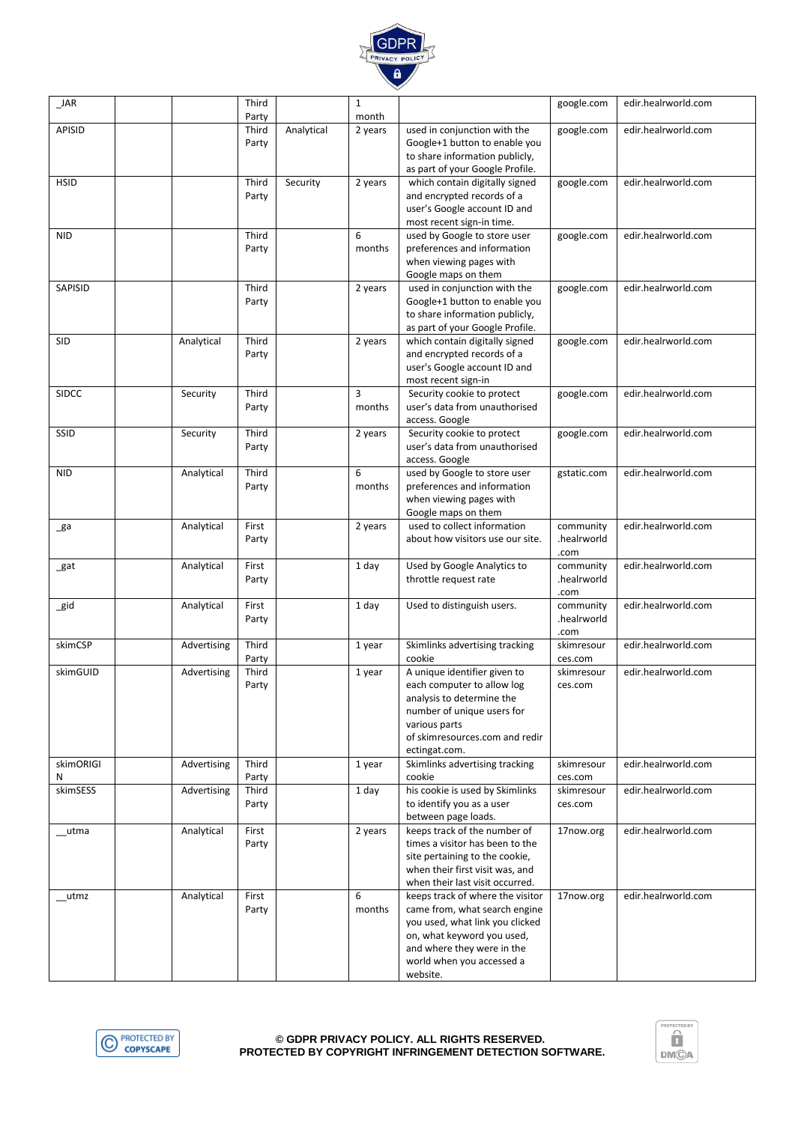

| <b>JAR</b>      |             | Third<br>Party |            | $\mathbf{1}$<br>month    |                                                                                                                                                                                                           | google.com                       | edir.healrworld.com |
|-----------------|-------------|----------------|------------|--------------------------|-----------------------------------------------------------------------------------------------------------------------------------------------------------------------------------------------------------|----------------------------------|---------------------|
| <b>APISID</b>   |             | Third<br>Party | Analytical | 2 years                  | used in conjunction with the<br>Google+1 button to enable you<br>to share information publicly,<br>as part of your Google Profile.                                                                        | google.com                       | edir.healrworld.com |
| <b>HSID</b>     |             | Third<br>Party | Security   | 2 years                  | which contain digitally signed<br>and encrypted records of a<br>user's Google account ID and<br>most recent sign-in time.                                                                                 | google.com                       | edir.healrworld.com |
| <b>NID</b>      |             | Third<br>Party |            | 6<br>months              | used by Google to store user<br>preferences and information<br>when viewing pages with<br>Google maps on them                                                                                             | google.com                       | edir.healrworld.com |
| SAPISID         |             | Third<br>Party |            | 2 years                  | used in conjunction with the<br>Google+1 button to enable you<br>to share information publicly,<br>as part of your Google Profile.                                                                        | google.com                       | edir.healrworld.com |
| <b>SID</b>      | Analytical  | Third<br>Party |            | 2 years                  | which contain digitally signed<br>and encrypted records of a<br>user's Google account ID and<br>most recent sign-in                                                                                       | google.com                       | edir.healrworld.com |
| <b>SIDCC</b>    | Security    | Third<br>Party |            | $\overline{3}$<br>months | Security cookie to protect<br>user's data from unauthorised<br>access. Google                                                                                                                             | google.com                       | edir.healrworld.com |
| SSID            | Security    | Third<br>Party |            | 2 years                  | Security cookie to protect<br>user's data from unauthorised<br>access. Google                                                                                                                             | google.com                       | edir.healrworld.com |
| <b>NID</b>      | Analytical  | Third<br>Party |            | 6<br>months              | used by Google to store user<br>preferences and information<br>when viewing pages with<br>Google maps on them                                                                                             | gstatic.com                      | edir.healrworld.com |
| _ga             | Analytical  | First<br>Party |            | 2 years                  | used to collect information<br>about how visitors use our site.                                                                                                                                           | community<br>.healrworld<br>.com | edir.healrworld.com |
| _gat            | Analytical  | First<br>Party |            | 1 day                    | Used by Google Analytics to<br>throttle request rate                                                                                                                                                      | community<br>.healrworld<br>.com | edir.healrworld.com |
| $\_$ gid        | Analytical  | First<br>Party |            | 1 day                    | Used to distinguish users.                                                                                                                                                                                | community<br>.healrworld<br>.com | edir.healrworld.com |
| skimCSP         | Advertising | Third<br>Party |            | 1 year                   | Skimlinks advertising tracking<br>cookie                                                                                                                                                                  | skimresour<br>ces.com            | edir.healrworld.com |
| skimGUID        | Advertising | Third<br>Party |            | 1 year                   | A unique identifier given to<br>each computer to allow log<br>analysis to determine the<br>number of unique users for<br>various parts<br>of skimresources.com and redir<br>ectingat.com.                 | skimresour<br>ces.com            | edir.healrworld.com |
| skimORIGI<br>N  | Advertising | Third<br>Party |            | 1 year                   | Skimlinks advertising tracking<br>cookie                                                                                                                                                                  | skimresour<br>ces.com            | edir.healrworld.com |
| skimSESS        | Advertising | Third<br>Party |            | 1 day                    | his cookie is used by Skimlinks<br>to identify you as a user<br>between page loads.                                                                                                                       | skimresour<br>ces.com            | edir.healrworld.com |
| $_{\_\_\_$ utma | Analytical  | First<br>Party |            | 2 years                  | keeps track of the number of<br>times a visitor has been to the<br>site pertaining to the cookie,<br>when their first visit was, and<br>when their last visit occurred.                                   | 17now.org                        | edir.healrworld.com |
| _utmz           | Analytical  | First<br>Party |            | 6<br>months              | keeps track of where the visitor<br>came from, what search engine<br>you used, what link you clicked<br>on, what keyword you used,<br>and where they were in the<br>world when you accessed a<br>website. | 17now.org                        | edir.healrworld.com |



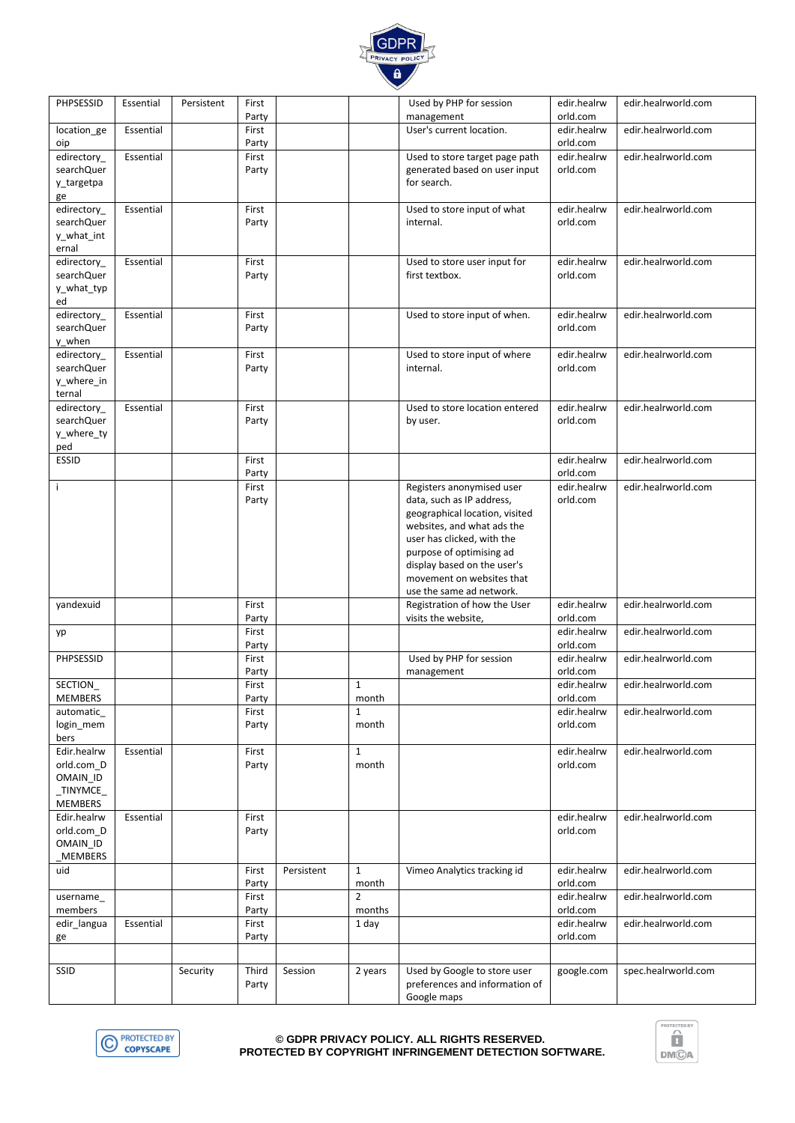

| PHPSESSID                 | Essential | Persistent | First          |            |                       | Used by PHP for session                                      | edir.healrw             | edir.healrworld.com |
|---------------------------|-----------|------------|----------------|------------|-----------------------|--------------------------------------------------------------|-------------------------|---------------------|
|                           |           |            | Party          |            |                       | management                                                   | orld.com                |                     |
| location ge               | Essential |            | First<br>Party |            |                       | User's current location.                                     | edir.healrw<br>orld.com | edir.healrworld.com |
| oip<br>edirectory_        | Essential |            | First          |            |                       | Used to store target page path                               | edir.healrw             | edir.healrworld.com |
| searchQuer                |           |            | Party          |            |                       | generated based on user input                                | orld.com                |                     |
| y_targetpa                |           |            |                |            |                       | for search.                                                  |                         |                     |
| ge                        |           |            |                |            |                       |                                                              |                         |                     |
| edirectory_               | Essential |            | First          |            |                       | Used to store input of what                                  | edir.healrw             | edir.healrworld.com |
| searchQuer                |           |            | Party          |            |                       | internal.                                                    | orld.com                |                     |
| y_what_int                |           |            |                |            |                       |                                                              |                         |                     |
| ernal                     |           |            |                |            |                       | Used to store user input for                                 |                         | edir.healrworld.com |
| edirectory_<br>searchQuer | Essential |            | First<br>Party |            |                       | first textbox.                                               | edir.healrw<br>orld.com |                     |
| y_what_typ                |           |            |                |            |                       |                                                              |                         |                     |
| ed                        |           |            |                |            |                       |                                                              |                         |                     |
| edirectory_               | Essential |            | First          |            |                       | Used to store input of when.                                 | edir.healrw             | edir.healrworld.com |
| searchQuer                |           |            | Party          |            |                       |                                                              | orld.com                |                     |
| y_when                    |           |            |                |            |                       |                                                              |                         |                     |
| edirectory_               | Essential |            | First          |            |                       | Used to store input of where                                 | edir.healrw             | edir.healrworld.com |
| searchQuer                |           |            | Party          |            |                       | internal.                                                    | orld.com                |                     |
| y_where_in                |           |            |                |            |                       |                                                              |                         |                     |
| ternal<br>edirectory_     | Essential |            | First          |            |                       | Used to store location entered                               | edir.healrw             | edir.healrworld.com |
| searchQuer                |           |            | Party          |            |                       | by user.                                                     | orld.com                |                     |
| y_where_ty                |           |            |                |            |                       |                                                              |                         |                     |
| ped                       |           |            |                |            |                       |                                                              |                         |                     |
| ESSID                     |           |            | First          |            |                       |                                                              | edir.healrw             | edir.healrworld.com |
|                           |           |            | Party          |            |                       |                                                              | orld.com                |                     |
| j.                        |           |            | First          |            |                       | Registers anonymised user                                    | edir.healrw             | edir.healrworld.com |
|                           |           |            | Party          |            |                       | data, such as IP address,                                    | orld.com                |                     |
|                           |           |            |                |            |                       | geographical location, visited<br>websites, and what ads the |                         |                     |
|                           |           |            |                |            |                       | user has clicked, with the                                   |                         |                     |
|                           |           |            |                |            |                       | purpose of optimising ad                                     |                         |                     |
|                           |           |            |                |            |                       | display based on the user's                                  |                         |                     |
|                           |           |            |                |            |                       | movement on websites that                                    |                         |                     |
|                           |           |            |                |            |                       | use the same ad network.                                     |                         |                     |
| yandexuid                 |           |            | First          |            |                       | Registration of how the User                                 | edir.healrw             | edir.healrworld.com |
|                           |           |            | Party          |            |                       | visits the website,                                          | orld.com                |                     |
| yp                        |           |            | First<br>Party |            |                       |                                                              | edir.healrw<br>orld.com | edir.healrworld.com |
| PHPSESSID                 |           |            | First          |            |                       | Used by PHP for session                                      | edir.healrw             | edir.healrworld.com |
|                           |           |            | Party          |            |                       | management                                                   | orld.com                |                     |
| SECTION_                  |           |            | First          |            | $\mathbf{1}$          |                                                              | edir.healrw             | edir.healrworld.com |
| MEMBERS                   |           |            | Party          |            | month                 |                                                              | orld.com                |                     |
| automatic_                |           |            | First          |            | $\mathbf{1}$          |                                                              | edir.healrw             | edir.healrworld.com |
| login_mem                 |           |            | Party          |            | month                 |                                                              | orld.com                |                     |
| bers                      |           |            |                |            |                       |                                                              |                         |                     |
| Edir.healrw<br>orld.com D | Essential |            | First<br>Party |            | $\mathbf{1}$<br>month |                                                              | edir.healrw<br>orld.com | edir.healrworld.com |
| OMAIN_ID                  |           |            |                |            |                       |                                                              |                         |                     |
| $\_$ TINYMCE $\_$         |           |            |                |            |                       |                                                              |                         |                     |
| <b>MEMBERS</b>            |           |            |                |            |                       |                                                              |                         |                     |
| Edir.healrw               | Essential |            | First          |            |                       |                                                              | edir.healrw             | edir.healrworld.com |
| orld.com D                |           |            | Party          |            |                       |                                                              | orld.com                |                     |
| OMAIN_ID                  |           |            |                |            |                       |                                                              |                         |                     |
| <b>MEMBERS</b>            |           |            |                |            |                       |                                                              |                         |                     |
| uid                       |           |            | First<br>Party | Persistent | $\mathbf{1}$<br>month | Vimeo Analytics tracking id                                  | edir.healrw<br>orld.com | edir.healrworld.com |
| username_                 |           |            | First          |            | $\overline{2}$        |                                                              | edir.healrw             | edir.healrworld.com |
| members                   |           |            | Party          |            | months                |                                                              | orld.com                |                     |
| edir_langua               | Essential |            | First          |            | 1 day                 |                                                              | edir.healrw             | edir.healrworld.com |
| ge                        |           |            | Party          |            |                       |                                                              | orld.com                |                     |
|                           |           |            |                |            |                       |                                                              |                         |                     |
| SSID                      |           | Security   | Third          | Session    | 2 years               | Used by Google to store user                                 | google.com              | spec.healrworld.com |
|                           |           |            | Party          |            |                       | preferences and information of                               |                         |                     |
|                           |           |            |                |            |                       | Google maps                                                  |                         |                     |
|                           |           |            |                |            |                       |                                                              |                         |                     |



#### **© GDPR PRIVACY POLICY. ALL RIGHTS RESERVED. PROTECTED BY COPYRIGHT INFRINGEMENT DETECTION SOFTWARE.**

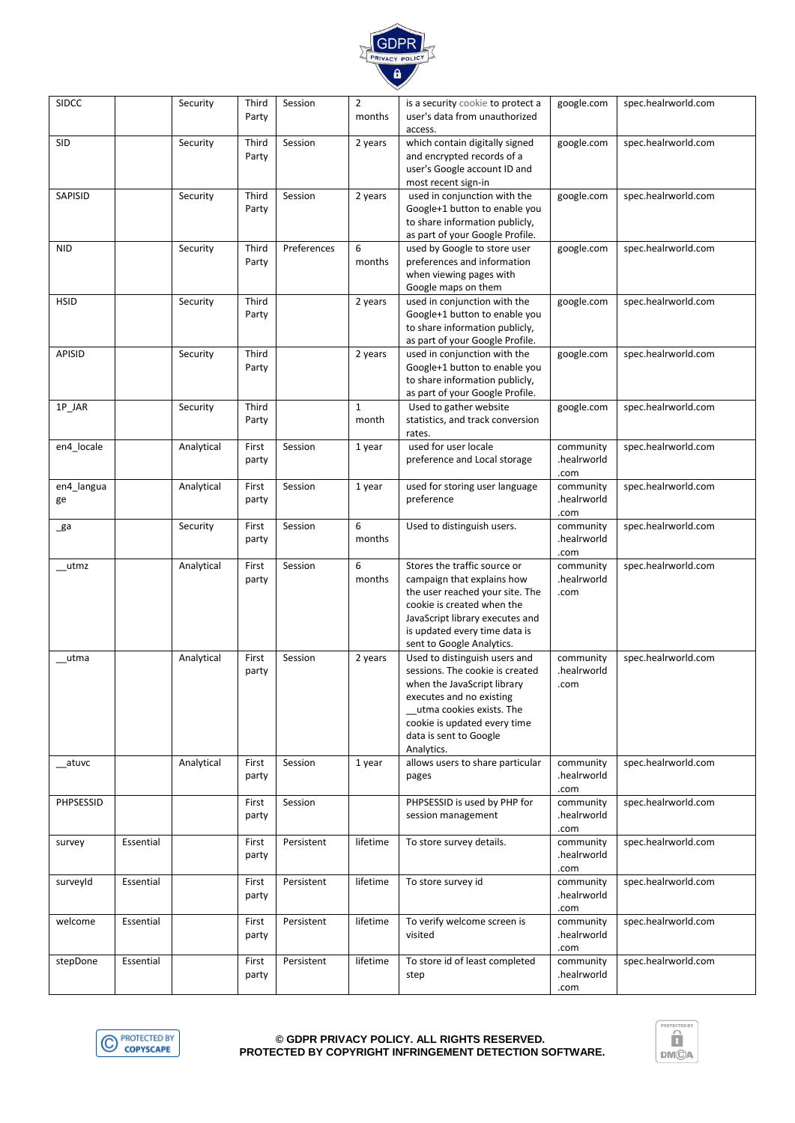

#### **© GDPR PRIVACY POLICY. ALL RIGHTS RESERVED. PROTECTED BY COPYRIGHT INFRINGEMENT DETECTION SOFTWARE.**



| <b>SIDCC</b>     |           | Security   | Third<br>Party | Session     | 2<br>months           | is a security cookie to protect a<br>user's data from unauthorized<br>access.                                                                                                                                                     | google.com                       | spec.healrworld.com |
|------------------|-----------|------------|----------------|-------------|-----------------------|-----------------------------------------------------------------------------------------------------------------------------------------------------------------------------------------------------------------------------------|----------------------------------|---------------------|
| <b>SID</b>       |           | Security   | Third<br>Party | Session     | 2 years               | which contain digitally signed<br>and encrypted records of a<br>user's Google account ID and<br>most recent sign-in                                                                                                               | google.com                       | spec.healrworld.com |
| SAPISID          |           | Security   | Third<br>Party | Session     | 2 years               | used in conjunction with the<br>Google+1 button to enable you<br>to share information publicly,<br>as part of your Google Profile.                                                                                                | google.com                       | spec.healrworld.com |
| <b>NID</b>       |           | Security   | Third<br>Party | Preferences | 6<br>months           | used by Google to store user<br>preferences and information<br>when viewing pages with<br>Google maps on them                                                                                                                     | google.com                       | spec.healrworld.com |
| <b>HSID</b>      |           | Security   | Third<br>Party |             | 2 years               | used in conjunction with the<br>Google+1 button to enable you<br>to share information publicly,<br>as part of your Google Profile.                                                                                                | google.com                       | spec.healrworld.com |
| <b>APISID</b>    |           | Security   | Third<br>Party |             | 2 years               | used in conjunction with the<br>Google+1 button to enable you<br>to share information publicly,<br>as part of your Google Profile.                                                                                                | google.com                       | spec.healrworld.com |
| 1P_JAR           |           | Security   | Third<br>Party |             | $\mathbf{1}$<br>month | Used to gather website<br>statistics, and track conversion<br>rates.                                                                                                                                                              | google.com                       | spec.healrworld.com |
| en4_locale       |           | Analytical | First<br>party | Session     | 1 year                | used for user locale<br>preference and Local storage                                                                                                                                                                              | community<br>.healrworld<br>.com | spec.healrworld.com |
| en4 langua<br>ge |           | Analytical | First<br>party | Session     | 1 year                | used for storing user language<br>preference                                                                                                                                                                                      | community<br>.healrworld<br>.com | spec.healrworld.com |
| _ga              |           | Security   | First<br>party | Session     | 6<br>months           | Used to distinguish users.                                                                                                                                                                                                        | community<br>.healrworld<br>.com | spec.healrworld.com |
| __utmz           |           | Analytical | First<br>party | Session     | 6<br>months           | Stores the traffic source or<br>campaign that explains how<br>the user reached your site. The<br>cookie is created when the<br>JavaScript library executes and<br>is updated every time data is<br>sent to Google Analytics.      | community<br>.healrworld<br>.com | spec.healrworld.com |
| __utma           |           | Analytical | First<br>party | Session     | 2 years               | Used to distinguish users and<br>sessions. The cookie is created<br>when the JavaScript library<br>executes and no existing<br>__utma cookies exists. The<br>cookie is updated every time<br>data is sent to Google<br>Analytics. | community<br>.healrworld<br>.com | spec.healrworld.com |
| __atuvc          |           | Analytical | First<br>party | Session     | 1 year                | allows users to share particular<br>pages                                                                                                                                                                                         | community<br>.healrworld<br>.com | spec.healrworld.com |
| PHPSESSID        |           |            | First<br>party | Session     |                       | PHPSESSID is used by PHP for<br>session management                                                                                                                                                                                | community<br>.healrworld<br>.com | spec.healrworld.com |
| survey           | Essential |            | First<br>party | Persistent  | lifetime              | To store survey details.                                                                                                                                                                                                          | community<br>.healrworld<br>.com | spec.healrworld.com |
| surveyId         | Essential |            | First<br>party | Persistent  | lifetime              | To store survey id                                                                                                                                                                                                                | community<br>.healrworld<br>.com | spec.healrworld.com |
| welcome          | Essential |            | First<br>party | Persistent  | lifetime              | To verify welcome screen is<br>visited                                                                                                                                                                                            | community<br>.healrworld<br>.com | spec.healrworld.com |
| stepDone         | Essential |            | First<br>party | Persistent  | lifetime              | To store id of least completed<br>step                                                                                                                                                                                            | community<br>.healrworld<br>.com | spec.healrworld.com |

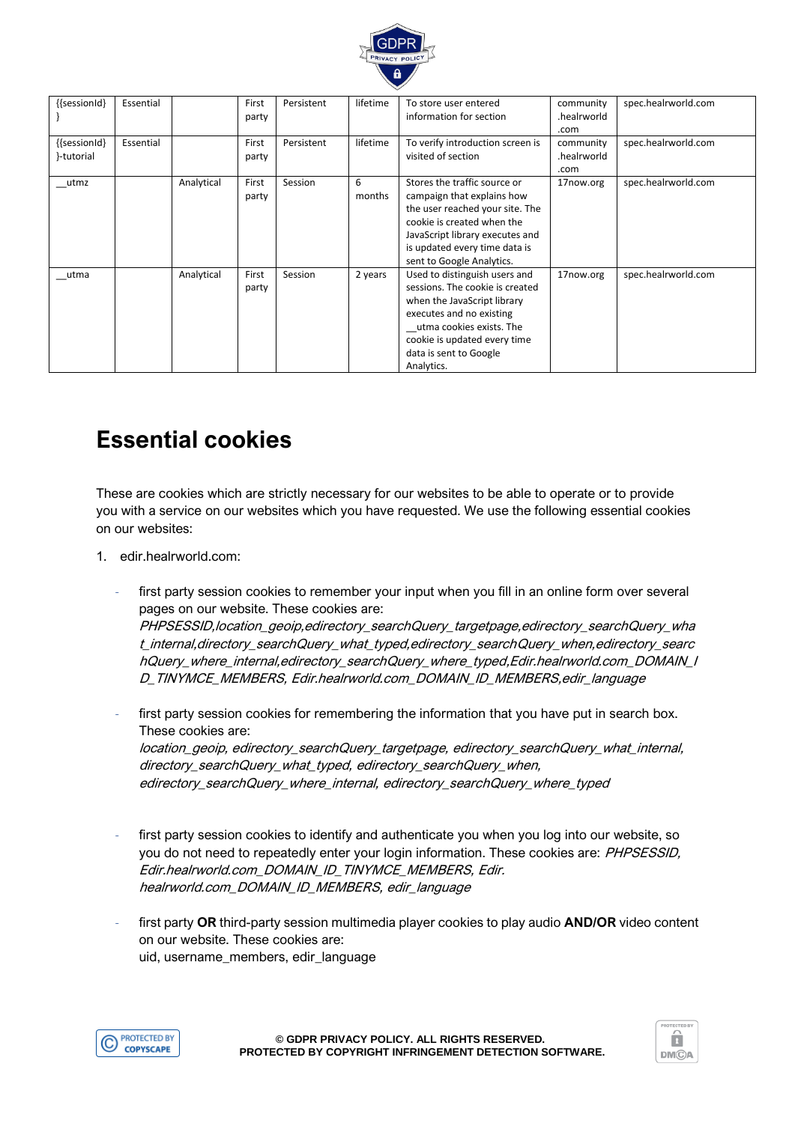

| {{sessionId}               | Essential |            | First<br>party | Persistent | lifetime    | To store user entered<br>information for section                                                                                                                                                                                | community<br>.healrworld<br>.com | spec.healrworld.com |
|----------------------------|-----------|------------|----------------|------------|-------------|---------------------------------------------------------------------------------------------------------------------------------------------------------------------------------------------------------------------------------|----------------------------------|---------------------|
| {{sessionId}<br>}-tutorial | Essential |            | First<br>party | Persistent | lifetime    | To verify introduction screen is<br>visited of section                                                                                                                                                                          | community<br>.healrworld<br>.com | spec.healrworld.com |
| utmz                       |           | Analytical | First<br>party | Session    | 6<br>months | Stores the traffic source or<br>campaign that explains how<br>the user reached your site. The<br>cookie is created when the<br>JavaScript library executes and<br>is updated every time data is<br>sent to Google Analytics.    | 17now.org                        | spec.healrworld.com |
| utma                       |           | Analytical | First<br>party | Session    | 2 years     | Used to distinguish users and<br>sessions. The cookie is created<br>when the JavaScript library<br>executes and no existing<br>utma cookies exists. The<br>cookie is updated every time<br>data is sent to Google<br>Analytics. | 17now.org                        | spec.healrworld.com |

# **Essential cookies**

These are cookies which are strictly necessary for our websites to be able to operate or to provide you with a service on our websites which you have requested. We use the following essential cookies on our websites:

- 1. edir.healrworld.com:
	- first party session cookies to remember your input when you fill in an online form over several pages on our website. These cookies are: PHPSESSID,location\_geoip,edirectory\_searchQuery\_targetpage,edirectory\_searchQuery\_wha t internal,directory\_searchQuery\_what\_typed,edirectory\_searchQuery\_when,edirectory\_searc hQuery\_where\_internal,edirectory\_searchQuery\_where\_typed,Edir.healrworld.com\_DOMAIN\_I D\_TINYMCE\_MEMBERS, Edir.healrworld.com\_DOMAIN\_ID\_MEMBERS,edir\_language
	- first party session cookies for remembering the information that you have put in search box. These cookies are: location\_geoip, edirectory\_searchQuery\_targetpage, edirectory\_searchQuery\_what\_internal, directory\_searchQuery\_what\_typed, edirectory\_searchQuery\_when, edirectory\_searchQuery\_where\_internal, edirectory\_searchQuery\_where\_typed
	- first party session cookies to identify and authenticate you when you log into our website, so you do not need to repeatedly enter your login information. These cookies are: PHPSESSID, Edir.healrworld.com\_DOMAIN\_ID\_TINYMCE\_MEMBERS, Edir. healrworld.com\_DOMAIN\_ID\_MEMBERS, edir\_language
	- first party **OR** third-party session multimedia player cookies to play audio **AND/OR** video content on our website. These cookies are: uid, username\_members, edir\_language



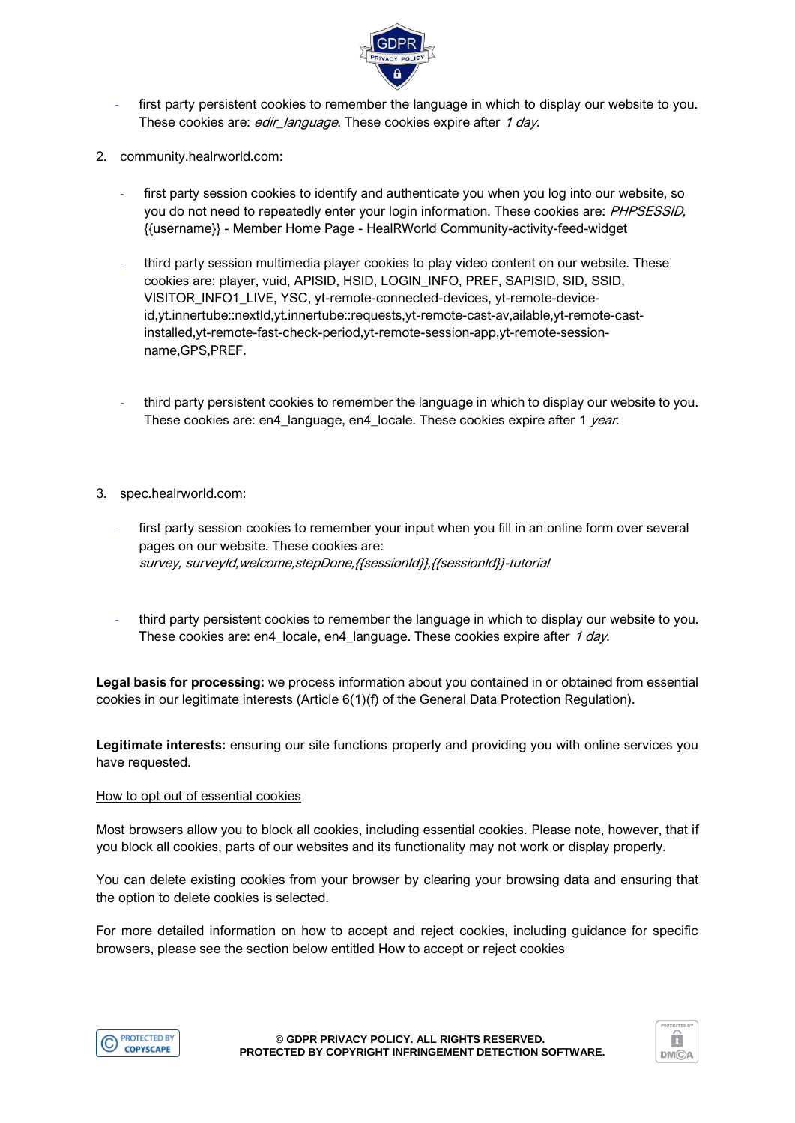

- first party persistent cookies to remember the language in which to display our website to you. These cookies are: edir\_language. These cookies expire after 1 day.
- 2. community.healrworld.com:
	- first party session cookies to identify and authenticate you when you log into our website, so you do not need to repeatedly enter your login information. These cookies are: PHPSESSID, {{username}} - Member Home Page - HealRWorld Community-activity-feed-widget
	- third party session multimedia player cookies to play video content on our website. These cookies are: player, vuid, APISID, HSID, LOGIN\_INFO, PREF, SAPISID, SID, SSID, VISITOR\_INFO1\_LIVE, YSC, yt-remote-connected-devices, yt-remote-deviceid,yt.innertube::nextId,yt.innertube::requests,yt-remote-cast-av,ailable,yt-remote-castinstalled,yt-remote-fast-check-period,yt-remote-session-app,yt-remote-sessionname,GPS,PREF.
	- third party persistent cookies to remember the language in which to display our website to you. These cookies are: en4\_language, en4\_locale. These cookies expire after 1 year.
- 3. spec.healrworld.com:
	- first party session cookies to remember your input when you fill in an online form over several pages on our website. These cookies are: survey, surveyId,welcome,stepDone,{{sessionId}},{{sessionId}}-tutorial
	- third party persistent cookies to remember the language in which to display our website to you. These cookies are: en4\_locale, en4\_language. These cookies expire after 1 day.

**Legal basis for processing:** we process information about you contained in or obtained from essential cookies in our legitimate interests (Article 6(1)(f) of the General Data Protection Regulation).

**Legitimate interests:** ensuring our site functions properly and providing you with online services you have requested.

#### How to opt out of essential cookies

Most browsers allow you to block all cookies, including essential cookies. Please note, however, that if you block all cookies, parts of our websites and its functionality may not work or display properly.

You can delete existing cookies from your browser by clearing your browsing data and ensuring that the option to delete cookies is selected.

For more detailed information on how to accept and reject cookies, including guidance for specific browsers, please see the section below entitled How to accept or reject cookies



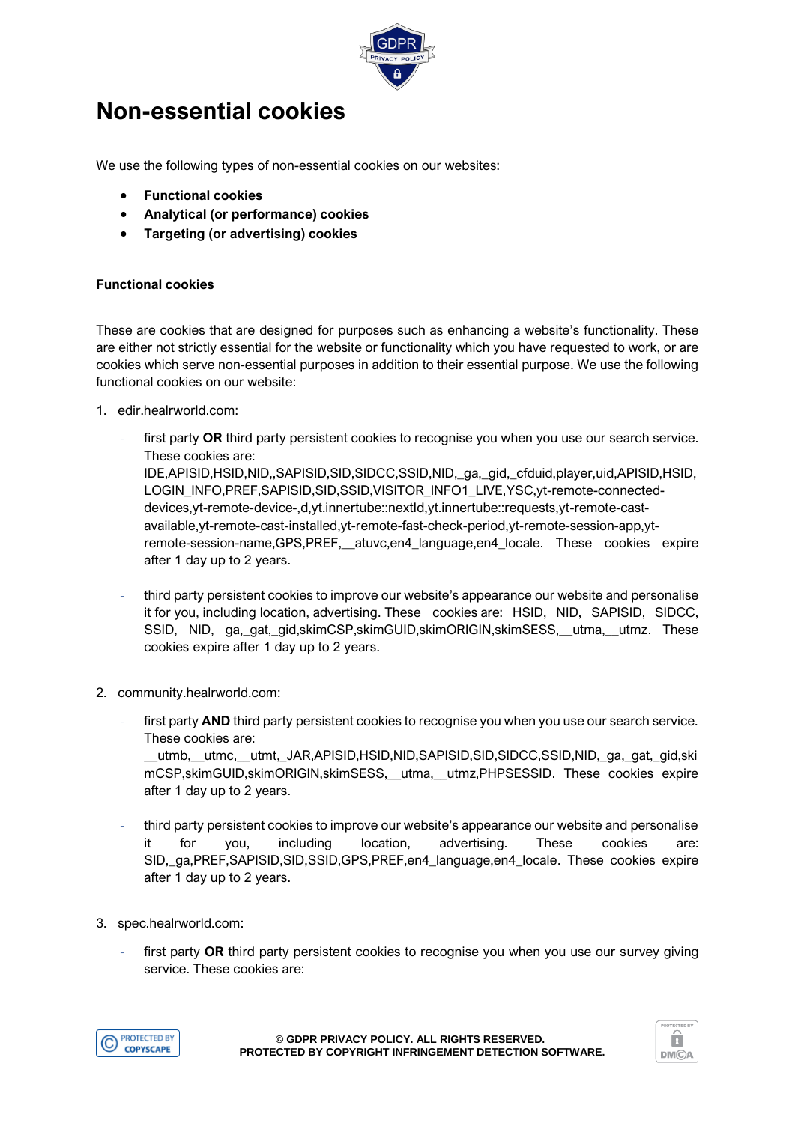

# **Non-essential cookies**

We use the following types of non-essential cookies on our websites:

- **Functional cookies**
- **Analytical (or performance) cookies**
- **Targeting (or advertising) cookies**

#### **Functional cookies**

These are cookies that are designed for purposes such as enhancing a website's functionality. These are either not strictly essential for the website or functionality which you have requested to work, or are cookies which serve non-essential purposes in addition to their essential purpose. We use the following functional cookies on our website:

- 1. edir.healrworld.com:
	- first party OR third party persistent cookies to recognise you when you use our search service. These cookies are: IDE,APISID,HSID,NID,,SAPISID,SID,SIDCC,SSID,NID,\_ga,\_gid,\_cfduid,player,uid,APISID,HSID, LOGIN\_INFO,PREF,SAPISID,SID,SSID,VISITOR\_INFO1\_LIVE,YSC,yt-remote-connecteddevices,yt-remote-device-,d,yt.innertube::nextId,yt.innertube::requests,yt-remote-castavailable,yt-remote-cast-installed,yt-remote-fast-check-period,yt-remote-session-app,ytremote-session-name,GPS,PREF,\_\_atuvc,en4\_language,en4\_locale. These cookies expire after 1 day up to 2 years.
	- third party persistent cookies to improve our website's appearance our website and personalise it for you, including location, advertising. These cookies are: HSID, NID, SAPISID, SIDCC, SSID, NID, ga,\_gat,\_gid,skimCSP,skimGUID,skimORIGIN,skimSESS,\_\_utma,\_\_utmz. These cookies expire after 1 day up to 2 years.
- 2. community.healrworld.com:
	- first party **AND** third party persistent cookies to recognise you when you use our search service. These cookies are:

\_\_utmb,\_\_utmc,\_\_utmt,\_JAR,APISID,HSID,NID,SAPISID,SID,SIDCC,SSID,NID,\_ga,\_gat,\_gid,ski mCSP,skimGUID,skimORIGIN,skimSESS,\_\_utma,\_\_utmz,PHPSESSID. These cookies expire after 1 day up to 2 years.

- third party persistent cookies to improve our website's appearance our website and personalise it for you, including location, advertising. These cookies are: SID,\_ga,PREF,SAPISID,SID,SSID,GPS,PREF,en4\_language,en4\_locale. These cookies expire after 1 day up to 2 years.
- 3. spec.healrworld.com:
	- first party OR third party persistent cookies to recognise you when you use our survey giving service. These cookies are:



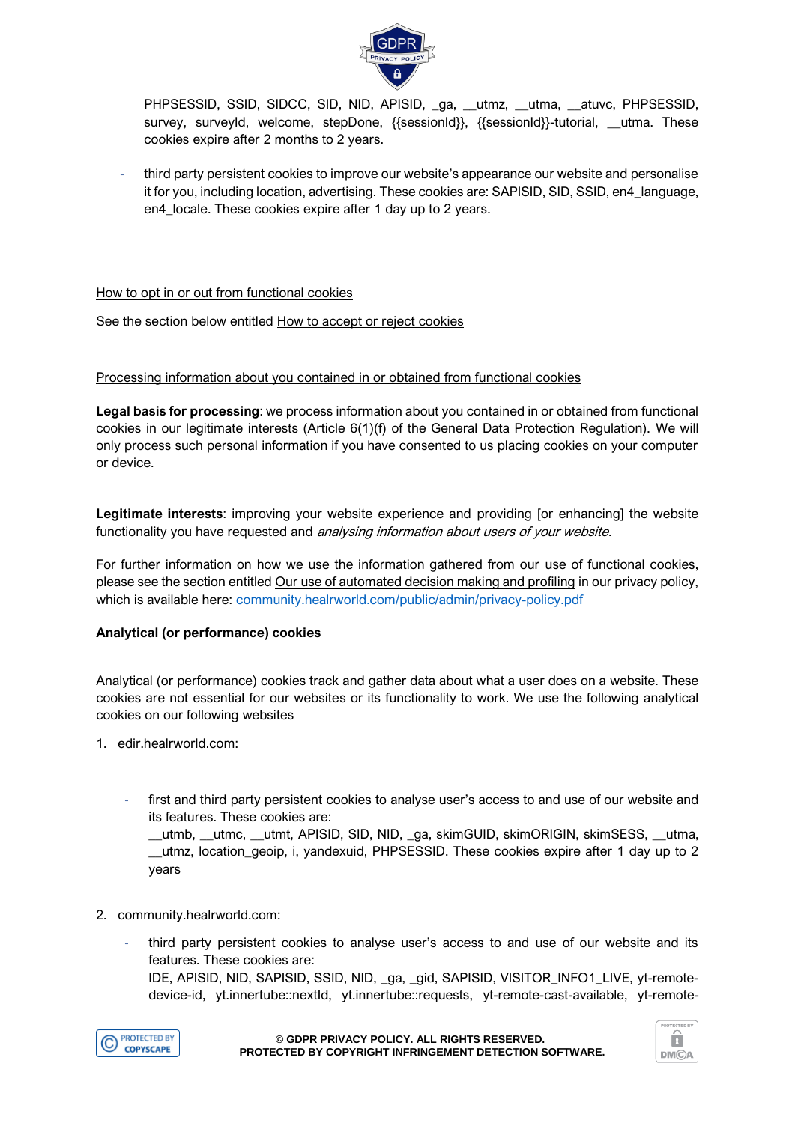

PHPSESSID, SSID, SIDCC, SID, NID, APISID, \_ga, \_utmz, \_utma, \_atuvc, PHPSESSID, survey, surveyId, welcome, stepDone, {{sessionId}}, {{sessionId}}-tutorial, \_\_utma. These cookies expire after 2 months to 2 years.

- third party persistent cookies to improve our website's appearance our website and personalise it for you, including location, advertising. These cookies are: SAPISID, SID, SSID, en4\_language, en4 locale. These cookies expire after 1 day up to 2 years.

#### How to opt in or out from functional cookies

See the section below entitled How to accept or reject cookies

#### Processing information about you contained in or obtained from functional cookies

**Legal basis for processing**: we process information about you contained in or obtained from functional cookies in our legitimate interests (Article 6(1)(f) of the General Data Protection Regulation). We will only process such personal information if you have consented to us placing cookies on your computer or device.

**Legitimate interests**: improving your website experience and providing [or enhancing] the website functionality you have requested and *analysing information about users of your website*.

For further information on how we use the information gathered from our use of functional cookies, please see the section entitled Our use of automated decision making and profiling in our privacy policy, which is available here: [community.healrworld.com/public/admin/privacy-policy.pdf](http://community.healrworld.com/public/admin/privacy-policy.pdf)

### **Analytical (or performance) cookies**

Analytical (or performance) cookies track and gather data about what a user does on a website. These cookies are not essential for our websites or its functionality to work. We use the following analytical cookies on our following websites

- 1. edir.healrworld.com:
	- first and third party persistent cookies to analyse user's access to and use of our website and its features. These cookies are:

\_\_utmb, \_\_utmc, \_\_utmt, APISID, SID, NID, \_ga, skimGUID, skimORIGIN, skimSESS, \_\_utma, \_\_utmz, location\_geoip, i, yandexuid, PHPSESSID. These cookies expire after 1 day up to 2 years

- 2. community.healrworld.com:
	- third party persistent cookies to analyse user's access to and use of our website and its features. These cookies are:
		- IDE, APISID, NID, SAPISID, SSID, NID, \_ga, \_gid, SAPISID, VISITOR\_INFO1\_LIVE, yt-remotedevice-id, yt.innertube::nextId, yt.innertube::requests, yt-remote-cast-available, yt-remote-



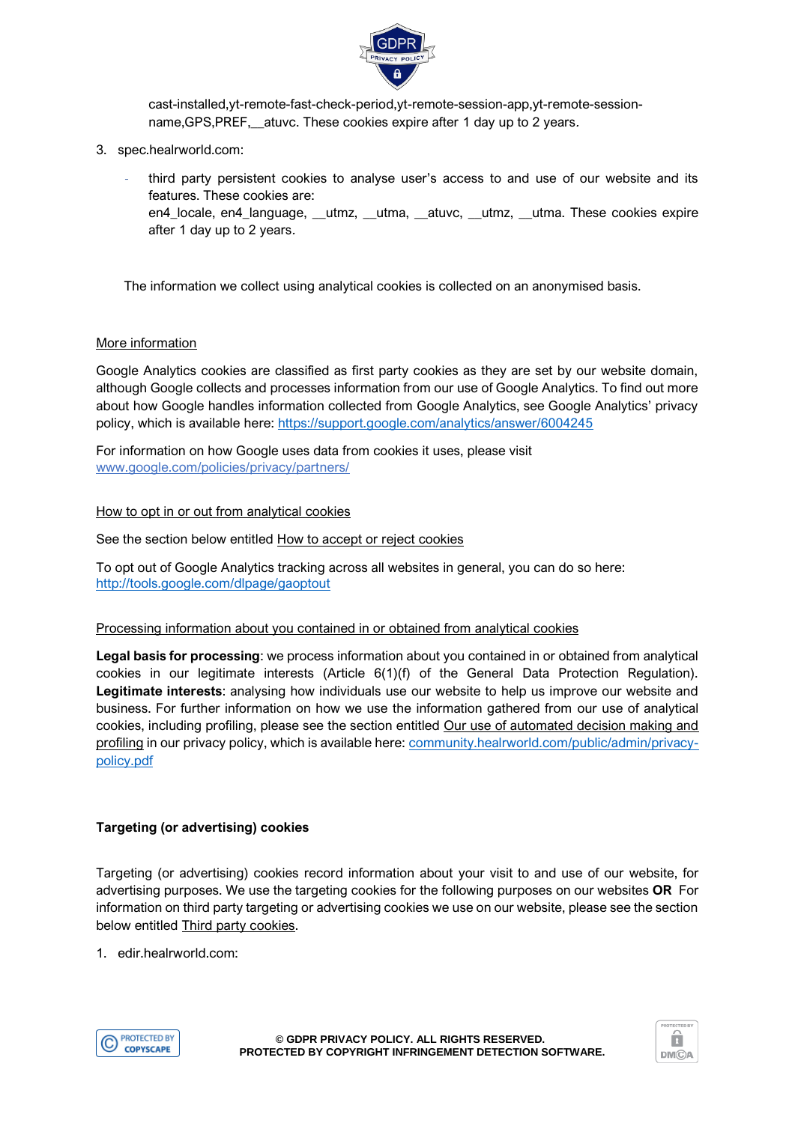

cast-installed,yt-remote-fast-check-period,yt-remote-session-app,yt-remote-sessionname, GPS, PREF, \_\_ atuvc. These cookies expire after 1 day up to 2 years.

- 3. spec.healrworld.com:
	- third party persistent cookies to analyse user's access to and use of our website and its features. These cookies are:
		- en4\_locale, en4\_language, \_\_utmz, \_\_utma, \_\_atuvc, \_\_utmz, \_\_utma. These cookies expire after 1 day up to 2 years.

The information we collect using analytical cookies is collected on an anonymised basis.

#### More information

Google Analytics cookies are classified as first party cookies as they are set by our website domain, although Google collects and processes information from our use of Google Analytics. To find out more about how Google handles information collected from Google Analytics, see Google Analytics' privacy policy, which is available here:<https://support.google.com/analytics/answer/6004245>

For information on how Google uses data from cookies it uses, please visit [www.google.com/policies/privacy/partners/](https://www.google.com/policies/privacy/partners/)

### How to opt in or out from analytical cookies

See the section below entitled How to accept or reject cookies

To opt out of Google Analytics tracking across all websites in general, you can do so here: <http://tools.google.com/dlpage/gaoptout>

#### Processing information about you contained in or obtained from analytical cookies

**Legal basis for processing**: we process information about you contained in or obtained from analytical cookies in our legitimate interests (Article 6(1)(f) of the General Data Protection Regulation). **Legitimate interests**: analysing how individuals use our website to help us improve our website and business. For further information on how we use the information gathered from our use of analytical cookies, including profiling, please see the section entitled Our use of automated decision making and profiling in our privacy policy, which is available here: [community.healrworld.com/public/admin/privacy](http://community.healrworld.com/public/admin/privacy-policy.pdf)[policy.pdf](http://community.healrworld.com/public/admin/privacy-policy.pdf)

#### **Targeting (or advertising) cookies**

Targeting (or advertising) cookies record information about your visit to and use of our website, for advertising purposes. We use the targeting cookies for the following purposes on our websites **OR** For information on third party targeting or advertising cookies we use on our website, please see the section below entitled Third party cookies.

1. edir.healrworld.com:



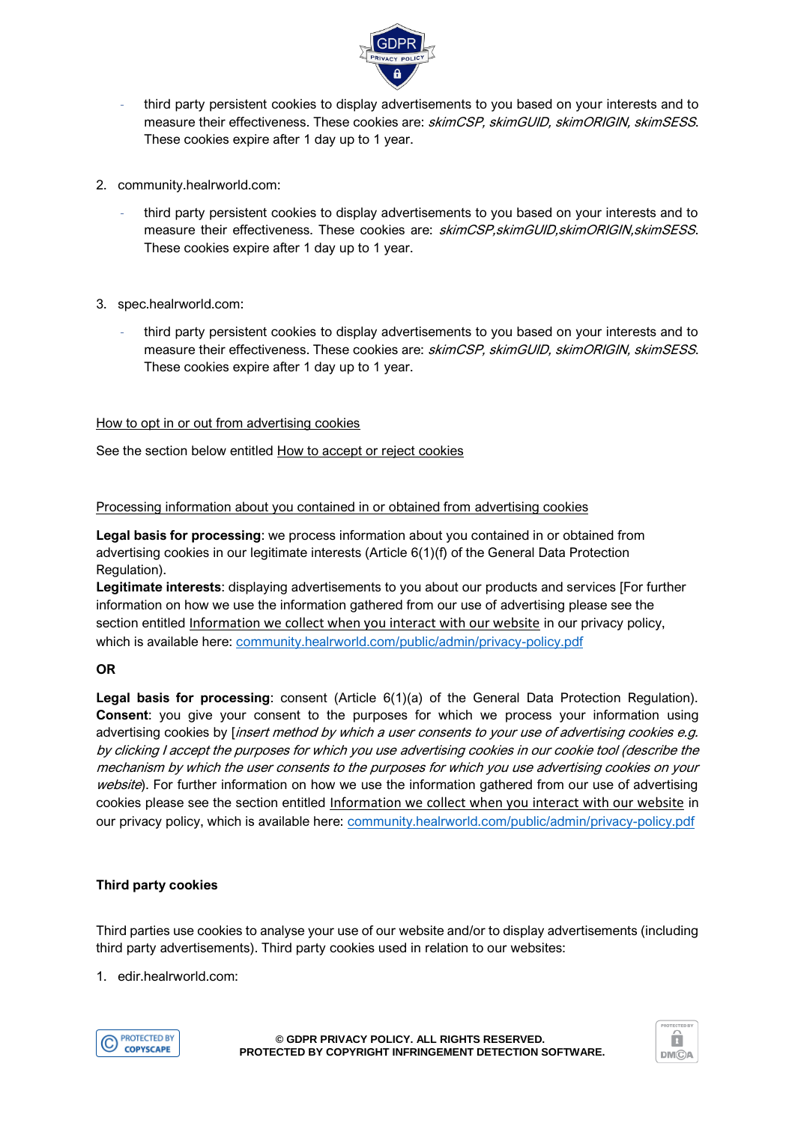

- third party persistent cookies to display advertisements to you based on your interests and to measure their effectiveness. These cookies are: skimCSP, skimGUID, skimORIGIN, skimSESS. These cookies expire after 1 day up to 1 year.
- 2. community.healrworld.com:
	- third party persistent cookies to display advertisements to you based on your interests and to measure their effectiveness. These cookies are: skimCSP, skimGUID, skimORIGIN, skimSESS. These cookies expire after 1 day up to 1 year.
- 3. spec.healrworld.com:
	- third party persistent cookies to display advertisements to you based on your interests and to measure their effectiveness. These cookies are: skimCSP, skimGUID, skimORIGIN, skimSESS. These cookies expire after 1 day up to 1 year.

#### How to opt in or out from advertising cookies

See the section below entitled How to accept or reject cookies

#### Processing information about you contained in or obtained from advertising cookies

**Legal basis for processing**: we process information about you contained in or obtained from advertising cookies in our legitimate interests (Article 6(1)(f) of the General Data Protection Regulation).

**Legitimate interests**: displaying advertisements to you about our products and services [For further information on how we use the information gathered from our use of advertising please see the section entitled Information we collect when you interact with our website in our privacy policy, which is available here: [community.healrworld.com/public/admin/privacy-policy.pdf](http://community.healrworld.com/public/admin/privacy-policy.pdf)

#### **OR**

Legal basis for processing: consent (Article 6(1)(a) of the General Data Protection Regulation). **Consent**: you give your consent to the purposes for which we process your information using advertising cookies by *[insert method by which a user consents to your use of advertising cookies e.g.* by clicking I accept the purposes for which you use advertising cookies in our cookie tool (describe the mechanism by which the user consents to the purposes for which you use advertising cookies on your website). For further information on how we use the information gathered from our use of advertising cookies please see the section entitled Information we collect when you interact with our website in our privacy policy, which is available here: [community.healrworld.com/public/admin/privacy-policy.pdf](http://community.healrworld.com/public/admin/privacy-policy.pdf)

#### **Third party cookies**

Third parties use cookies to analyse your use of our website and/or to display advertisements (including third party advertisements). Third party cookies used in relation to our websites:

1. edir.healrworld.com:



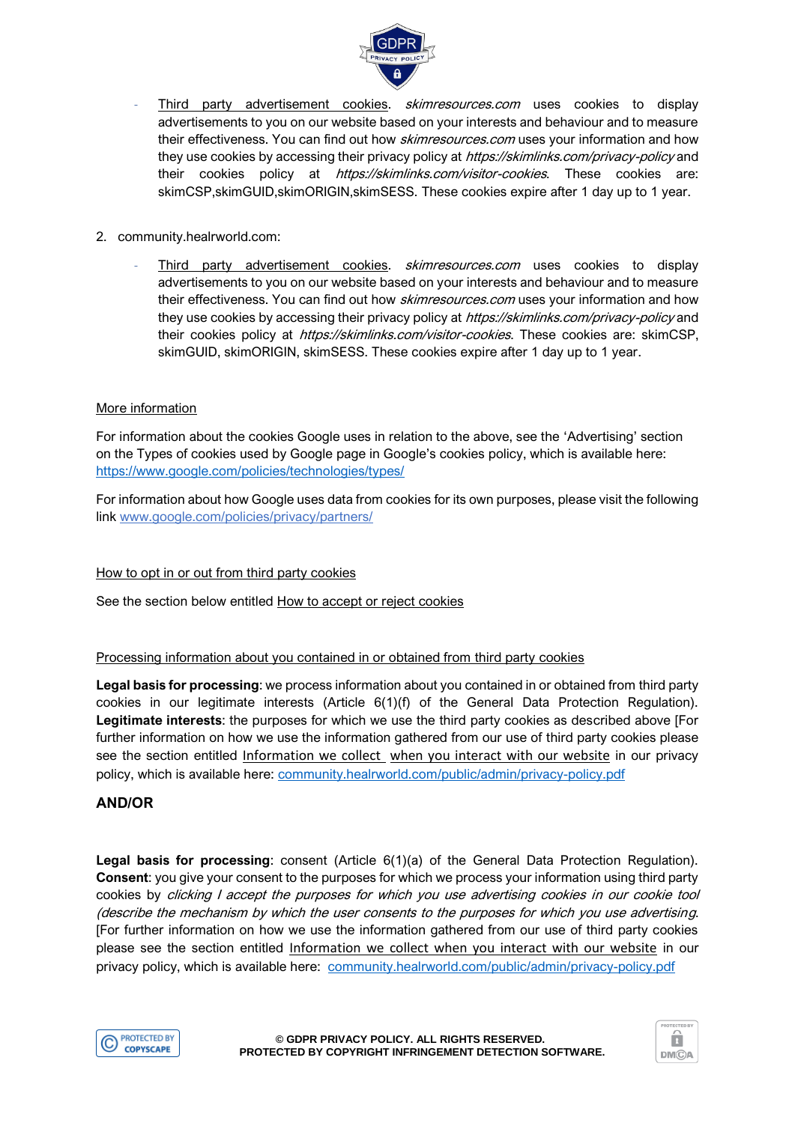

- Third party advertisement cookies. *skimresources.com* uses cookies to display advertisements to you on our website based on your interests and behaviour and to measure their effectiveness. You can find out how *skimresources.com* uses your information and how they use cookies by accessing their privacy policy at *https://skimlinks.com/privacy-policy* and their cookies policy at *https://skimlinks.com/visitor-cookies*. These cookies are: skimCSP,skimGUID,skimORIGIN,skimSESS. These cookies expire after 1 day up to 1 year.
- 2. community.healrworld.com:
	- Third party advertisement cookies. *skimresources.com* uses cookies to display advertisements to you on our website based on your interests and behaviour and to measure their effectiveness. You can find out how *skimresources.com* uses your information and how they use cookies by accessing their privacy policy at *https://skimlinks.com/privacy-policy* and their cookies policy at https://skimlinks.com/visitor-cookies. These cookies are: skimCSP, skimGUID, skimORIGIN, skimSESS. These cookies expire after 1 day up to 1 year.

#### More information

For information about the cookies Google uses in relation to the above, see the 'Advertising' section on the Types of cookies used by Google page in Google's cookies policy, which is available here: <https://www.google.com/policies/technologies/types/>

For information about how Google uses data from cookies for its own purposes, please visit the following link [www.google.com/policies/privacy/partners/](https://www.google.com/policies/privacy/partners/)

#### How to opt in or out from third party cookies

See the section below entitled How to accept or reject cookies

#### Processing information about you contained in or obtained from third party cookies

**Legal basis for processing**: we process information about you contained in or obtained from third party cookies in our legitimate interests (Article 6(1)(f) of the General Data Protection Regulation). **Legitimate interests**: the purposes for which we use the third party cookies as described above [For further information on how we use the information gathered from our use of third party cookies please see the section entitled Information we collect when you interact with our website in our privacy policy, which is available here: [community.healrworld.com/public/admin/privacy-policy.pdf](http://community.healrworld.com/public/admin/privacy-policy.pdf)

#### **AND/OR**

**Legal basis for processing**: consent (Article 6(1)(a) of the General Data Protection Regulation). **Consent**: you give your consent to the purposes for which we process your information using third party cookies by clicking I accept the purposes for which you use advertising cookies in our cookie tool (describe the mechanism by which the user consents to the purposes for which you use advertising. [For further information on how we use the information gathered from our use of third party cookies please see the section entitled Information we collect when you interact with our website in our privacy policy, which is available here: [community.healrworld.com/public/admin/privacy-policy.pdf](http://community.healrworld.com/public/admin/privacy-policy.pdf)



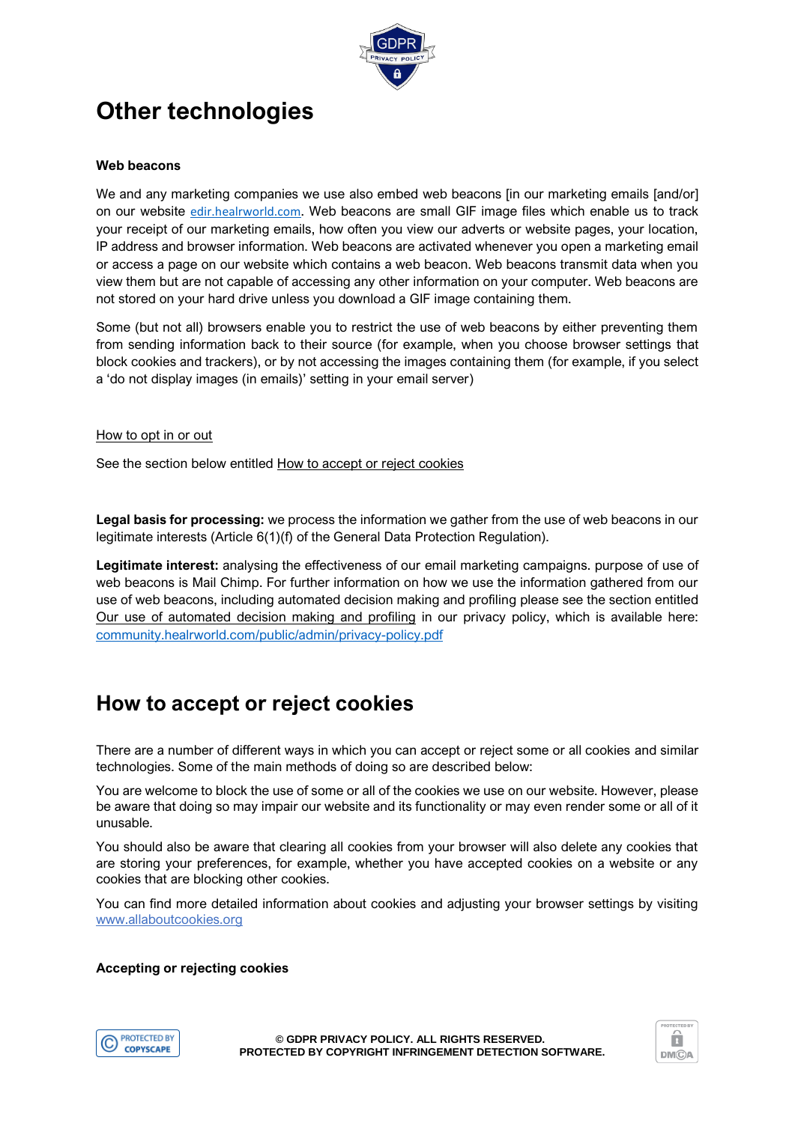

# **Other technologies**

#### **Web beacons**

We and any marketing companies we use also embed web beacons [in our marketing emails [and/or] on our website [edir.healrworld.com](http://edir.healrworld.com/). Web beacons are small GIF image files which enable us to track your receipt of our marketing emails, how often you view our adverts or website pages, your location, IP address and browser information. Web beacons are activated whenever you open a marketing email or access a page on our website which contains a web beacon. Web beacons transmit data when you view them but are not capable of accessing any other information on your computer. Web beacons are not stored on your hard drive unless you download a GIF image containing them.

Some (but not all) browsers enable you to restrict the use of web beacons by either preventing them from sending information back to their source (for example, when you choose browser settings that block cookies and trackers), or by not accessing the images containing them (for example, if you select a 'do not display images (in emails)' setting in your email server)

#### How to opt in or out

See the section below entitled How to accept or reject cookies

**Legal basis for processing:** we process the information we gather from the use of web beacons in our legitimate interests (Article 6(1)(f) of the General Data Protection Regulation).

**Legitimate interest:** analysing the effectiveness of our email marketing campaigns. purpose of use of web beacons is Mail Chimp. For further information on how we use the information gathered from our use of web beacons, including automated decision making and profiling please see the section entitled Our use of automated decision making and profiling in our privacy policy, which is available here: [community.healrworld.com/public/admin/privacy-policy.pdf](http://community.healrworld.com/public/admin/privacy-policy.pdf)

### **How to accept or reject cookies**

There are a number of different ways in which you can accept or reject some or all cookies and similar technologies. Some of the main methods of doing so are described below:

You are welcome to block the use of some or all of the cookies we use on our website. However, please be aware that doing so may impair our website and its functionality or may even render some or all of it unusable.

You should also be aware that clearing all cookies from your browser will also delete any cookies that are storing your preferences, for example, whether you have accepted cookies on a website or any cookies that are blocking other cookies.

You can find more detailed information about cookies and adjusting your browser settings by visiting [www.allaboutcookies.org](http://www.allaboutcookies.org/)

#### **Accepting or rejecting cookies**



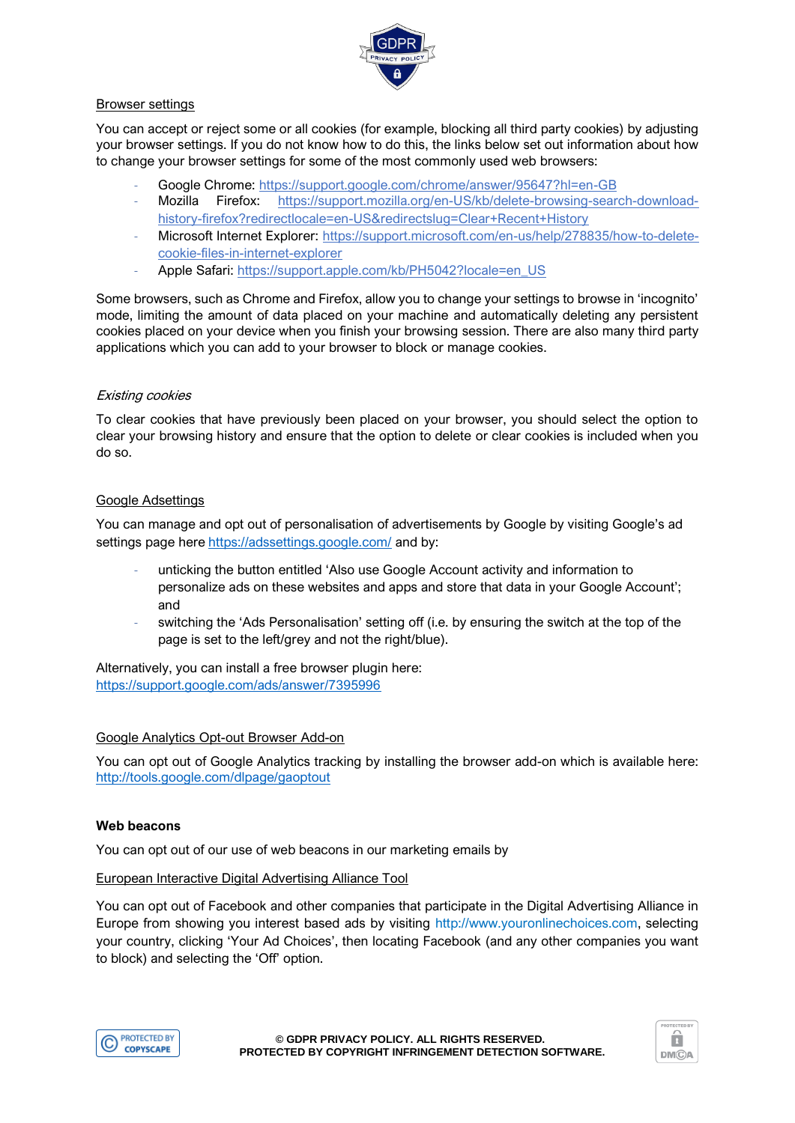

#### Browser settings

You can accept or reject some or all cookies (for example, blocking all third party cookies) by adjusting your browser settings. If you do not know how to do this, the links below set out information about how to change your browser settings for some of the most commonly used web browsers:

- Google Chrome:<https://support.google.com/chrome/answer/95647?hl=en-GB>
- Mozilla Firefox: [https://support.mozilla.org/en-US/kb/delete-browsing-search-download](https://support.mozilla.org/en-US/kb/delete-browsing-search-download-history-firefox?redirectlocale=en-US&redirectslug=Clear+Recent+History)[history-firefox?redirectlocale=en-US&redirectslug=Clear+Recent+History](https://support.mozilla.org/en-US/kb/delete-browsing-search-download-history-firefox?redirectlocale=en-US&redirectslug=Clear+Recent+History)
- Microsoft Internet Explorer: [https://support.microsoft.com/en-us/help/278835/how-to-delete](https://support.microsoft.com/en-us/help/278835/how-to-delete-cookie-files-in-internet-explorer)[cookie-files-in-internet-explorer](https://support.microsoft.com/en-us/help/278835/how-to-delete-cookie-files-in-internet-explorer)
- Apple Safari: [https://support.apple.com/kb/PH5042?locale=en\\_US](https://support.apple.com/kb/PH5042?locale=en_US)

Some browsers, such as Chrome and Firefox, allow you to change your settings to browse in 'incognito' mode, limiting the amount of data placed on your machine and automatically deleting any persistent cookies placed on your device when you finish your browsing session. There are also many third party applications which you can add to your browser to block or manage cookies.

#### Existing cookies

To clear cookies that have previously been placed on your browser, you should select the option to clear your browsing history and ensure that the option to delete or clear cookies is included when you do so.

### Google Adsettings

You can manage and opt out of personalisation of advertisements by Google by visiting Google's ad settings page here <https://adssettings.google.com/> and by:

- unticking the button entitled 'Also use Google Account activity and information to personalize ads on these websites and apps and store that data in your Google Account'; and
- switching the 'Ads Personalisation' setting off (i.e. by ensuring the switch at the top of the page is set to the left/grey and not the right/blue).

Alternatively, you can install a free browser plugin here: <https://support.google.com/ads/answer/7395996>

#### Google Analytics Opt-out Browser Add-on

You can opt out of Google Analytics tracking by installing the browser add-on which is available here: <http://tools.google.com/dlpage/gaoptout>

#### **Web beacons**

You can opt out of our use of web beacons in our marketing emails by

#### European Interactive Digital Advertising Alliance Tool

You can opt out of Facebook and other companies that participate in the Digital Advertising Alliance in Europe from showing you interest based ads by visiting http://www.youronlinechoices.com, selecting your country, clicking 'Your Ad Choices', then locating Facebook (and any other companies you want to block) and selecting the 'Off' option.